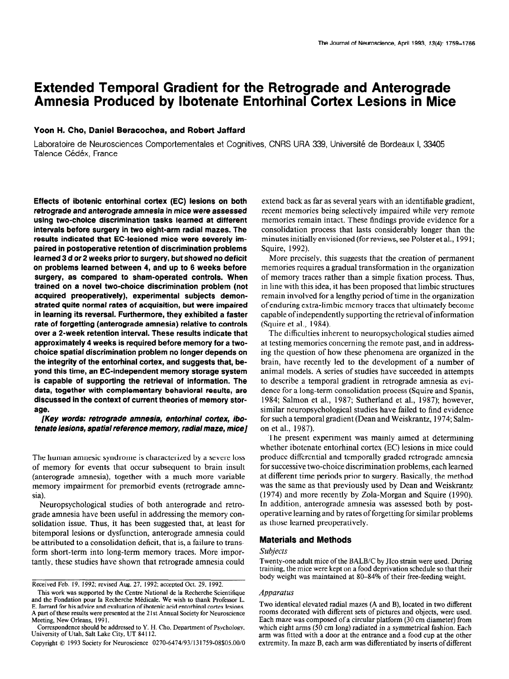# Extended Temporal Gradient for the Retrograde and Anterograde Amnesia Produced by lbotenate Entorhinal Cortex Lesions in Mice

### Yoon H. Cho, Daniel Beracochea, and Robert Jaffard

Laboratoire de Neurosciences Comportementales et Cognitives, CNRS URA 339, Université de Bordeaux I, 33405 Talence Cédéx, France

Effects of ibotenic entorhinal cortex (EC) lesions on both retrograde and anterograde amnesia in mice were assessed using two-choice discrimination tasks learned at different intervals before surgery in two eight-arm radial mazes. The results indicated that EC-lesioned mice were severely impaired in postoperative retention of discrimination problems learned 3 d or 2 weeks prior to surgery, but showed no deficit on problems learned between 4, and up to 6 weeks before surgery, as compared to sham-operated controls. When trained on a novel two-choice discrimination problem (not acquired preoperatively), experimental subjects demonstrated quite normal rates of acquisition, but were impaired in learning its reversal. Furthermore, they exhibited a faster rate of forgetting (anterograde amnesia) relative to controls over a 2-week retention interval. These results indicate that approximately 4 weeks is required before memory for a twochoice spatial discrimination problem no longer depends on the integrity of the entorhinal cortex, and suggests that, beyond this time, an EC-independent memory storage system is capable of supporting the retrieval of information. The data, together with complementary behavioral results, are discussed in the context of current theories of memory storage.

[Key words: retrograde amnesia, entorhinal cortex, ibotenate lesions, spatial reference memory, radial maze, mice]

The human amnesic syndrome is characterized by a severe loss of memory for events that we have the events to be the brain insults of the brain insults of the brain insults of the brain insults of the brain insults of the brain insults of the brain insults of the brain insults of the of memory for events that occur subsequent to brain msult (anterograde amnesia), together with a much more variable memory impairment for premorbid events (retrograde amne-<br>sia). Neuropsychological studies of both anterograde and retro-

Reuropsychological studies of both anterograde and retrograde amnesia have been useful in addressing the memory consolidation issue. Thus, it has been suggested that, at least for bitemporal lesions or dysfunction, anterograde amnesia could be attributed to a consolidation deficit, that is, a failure to transform short-term into long-term memory traces. More importantly, these studies have shown that retrograde amnesia could

Copyright © 1993 Society for Neuroscience 0270-6474/93/131759-08\$05.00/0

extend back as far as several years with an identifiable gradient, recent memories being selectively impaired while very remote memories remain intact. These findings provide evidence for a consolidation process that lasts considerably longer than the minutes initially envisioned (for reviews, see Polster et al., 199 1; Squire, 1992).

More precisely, this suggests that the creation of permanent memories requires a gradual transformation in the organization of memory traces rather than a simple fixation process. Thus, in line with this idea, it has been proposed that limbic structures remain involved for a lengthy period of time in the organization ofenduring extra-limbic memory traces that ultimately become capable ofindependently supporting the retrieval of information (Squire et al., 1984).

The difficulties inherent to neuropsychological studies aimed at testing memories concerning the remote past, and in addressing the question of how these phenomena are organized in the brain, have recently led to the development of a number of animal models. A series of studies have succeeded in attempts to describe a temporal gradient in retrograde amnesia as evi- $\omega$  describe a temporar gradient in retrograde annesia as evidence for a long-term consolidation process (Squire and Spanis, 1984; Salmon et al., 1987; Sutherland et al., 1987); however, similar neuropsychological studies have failed to find evidence  $f_{\text{e}}$  such a temporal and  $f_{\text{out}}$  (Decay and Weiskrantz, 1974; Salmfor such a tempor The present experiment was mainly aimed at determining

 $\mu$  in the present experiment was manny anneu at determining whether ibotenate entorhinal cortex (EC) lesions in mice could produce differential and temporally graded retrograde amnesia for successive two-choice discrimination problems, each learned at different time periods prior to surgery. Basically, the method was the same as that previously used by Dean and Weiskrantz  $(1974)$  and more recently by Zola-Morgan and Squire  $(1990)$ . In addition, anterograde amnesia was assessed both by postoperative learning and by rates of forgetting for similar problems as those learned preoperatively.

### Materials and Methods malchar<br>a

### $\mathcal{S} \mathcal{U} \mathcal{D} \mathcal{I} \mathcal{E} \mathcal{I} \mathcal{I}$

Twenty-one adult mice of the BALB/C by JIco strain were used. During training, the mice were kept on a food deprivation schedule so that their body weight was maintained at 80–84% of their free-feeding weight.

#### Apparatus  $T_{\text{F}}$

Two identical elevated radial mazes (A and B), located in two different rooms decorated with different sets of pictures and objects, were used. Each maze was composed of a circular platform (30 cm diameter) from which eight arms (50 cm long) radiated in a symmetrical fashion. Each arm was fitted with a door at the entrance and a food cup at the other extremity. In maze B, each arm was differentiated by inserts of different

Received Feb. 19, 1992; revised Aug. 27, 1992; accepted Oct. 29, 1992.

This work was supported by the Centre National de la Recherche Scientifique. and the Fondation pour la Recherche Médicale. We wish to thank Professor L. E. Jarrard for his advice and evaluation of ibotenic acid entorhinal cortex lesions. A part of these results were presented at the 21st Annual Society for Neuroscience Meeting, New Orleans, 1991.

Correspondence should be addressed to Y. H. Cho, Department of Psychology, University of Utah, Salt Lake City, UT 84112.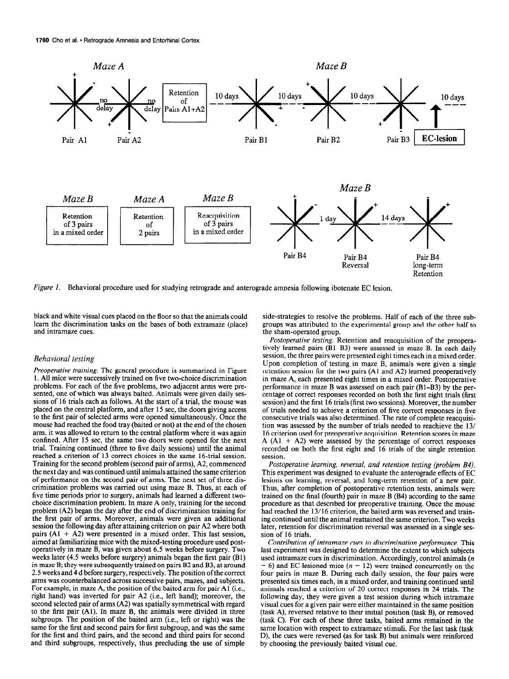

Figure 1. Behavioral procedure used for studying retrograde and anterograde amnesia following ibotenate EC lesion.

black and white visual cues placed on the floor so that the animals could side-strategies to resolve the problems. Half of each of the three suband intramaze cues. the sham-operated group. the sham-operated group.

### Behavioral testing

Preoperative training. The general procedure is summarized in Figure 1. All mice were successively trained on five two-choice discrimination problems. For each of the five problems, two adjacent arms were presented, one of which was always baited. Animals were given daily sessions of 16 trials each as follows. At the start of a trial, the mouse was placed on the central platform, and after 15 sec, the doors giving access to the first pair of selected arms were opened simultaneously. Once the mouse had reached the food tray (baited or not) at the end of the chosen arm, it was allowed to return to the central platform where it was again confined. After 15 sec, the same two doors were opened for the next trial. Training continued (three to five daily sessions) until the animal reached a criterion of 13 correct choices in the same 16-trial session. Training for the second problem (second pair of arms), A2, commenced the next day and was continued until animals attained the same criterion of performance on the second pair of arms. The next set of three discrimination problems was carried out using maze B. Thus, at each of five time periods prior to surgery, animals had learned a different twon's this periods prior to surgery, animals had icarned a different twoproblem (A2) began the day  $f(x)$  of  $f(x)$  and  $f(x)$  and  $f(x)$  and  $f(x)$  and  $f(x)$  $t_1$  problem  $(T_2)$  began the day after the cho of discrimination training it the matrix pair of affins, moreover, annually were given an additional session the following day after attaining criterion on pair A2 where both pairs  $(A1 + A2)$  were presented in a mixed-order. This last session, aimed at familiarizing mice with the mixed-testing procedure used postoperatively in maze B, was given about 6.5 weeks before surgery. Two weeks later (4.5 weeks before surgery) animals began the first pair (B1) in maze B; they were subsequently trained on pairs B2 and B3, at around 2.5 weeks and 4 d before surgery, respectively. The position of the correct arms was counterbalanced across successive pairs, mazes, and subjects. For example, in maze A, the position of the baited arm for pair A1 (i.e., right hand) was inverted for pair A2 (i.e., left hand); moreover, the second selected pair of arms (A2) was spatially symmetrical with regard to the first pair (A1). In maze B, the animals were divided in three subgroups. The position of the baited arm (i.e., left or right) was the same for the first and second pairs for first subgroup, and was the same for the first and third pairs, and the second and third pairs for second and third subgroups, respectively, thus precluding the use of simple

learn the discrimination tasks on the bases of both extramaze (place) groups was attributed to the experimental group and the other half to

Postoperative testing. Retention and reacquisition of the preoperatively learned pairs (Bl-B3) were assessed in maze B. In each daily session, the three pairs were presented eight times each in a mixed order. Upon completion of testing in maze B, animals were given a single retention session for the two pairs (Al and A2) learned preoperatively in maze A, each presented eight times in a mixed order. Postoperative performance in maze B was assessed on each pair (Bl-B3) by the percentage of correct responses recorded on both the first eight trials (first session) and the first 16 trials (first two sessions). Moreover, the number of trials needed to achieve a criterion of five correct responses in five consecutive trials was also determined. The rate of complete reacquisition was assessed by the number of trials needed to reachieve the 13/ 16 criterion used for preoperative acquisition. Retention scores in maze  $A (A1 + A2)$  were assessed by the percentage of correct responses recorded on both the first eight and 16 trials of the single retention of the single retention of the single retention of the single returns of the single returns of the single returns of the single returns of the single r session. SSION.<br>Postoperative learning, reversal, and retention testing (problem B4).

 $T$  ostoperative tearning, reversal, and retention testing (problem  $B4$ ). This experiment was designed to evaluate the anterograde effects of EC lesions on learning, reversal, and long-term retention of a new pair. Thus, after completion of postoperative retention tests, animals were trained on the final (fourth) pair in maze B (B4) according to the same procedure as that described for preoperative training. Once the mouse had reached the 13/16 criterion, the baited arm was reversed and training continued until the animal reattained the same criterion. Two weeks later, retention for discrimination reversal was assessed in a single session of 16 trials.  $\Omega$  of  $\Omega$  is discrimination of  $\Omega$  intramaze cues to discrimination performance. The performance of  $\Omega$ 

 $\sim$  Contribution by intramaze cues to discrimination performance. This last experiment was designed to determine the extent to which subjects used intramaze cues in discrimination. Accordingly, control animals  $(n)$ 6) and EC-lesioned mice  $(n - 12)$  were trained concurrently on the four pairs in maze B. During each daily session, the four pairs were presented six times each, in a mixed order, and training continued until animals reached a criterion of 20 correct responses in 24 trials. The following day, they were given a test session during which intramaze visual cues for a given pair were either maintained in the same position (task A), reversed relative to their initial position (task B), or removed (task C). For each of these three tasks, baited arms remained in the same location with respect to extramaze stimuli. For the last task (task D), the cues were reversed (as for task B) but animals were reinforced by choosing the previously baited visual cue.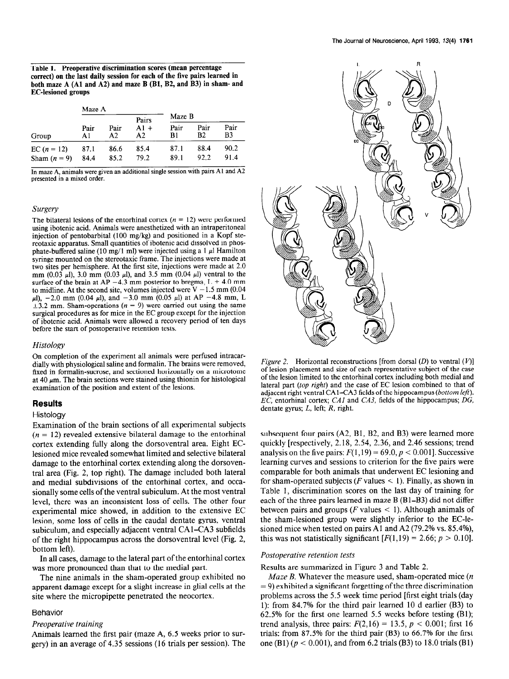|                           | Table 1. Preoperative discrimination scores (mean percentage             |
|---------------------------|--------------------------------------------------------------------------|
|                           | correct) on the last daily session for each of the five pairs learned in |
|                           | both maze A (A1 and A2) and maze B (B1, B2, and B3) in sham- and         |
| <b>EC-lesioned groups</b> |                                                                          |

|                | Maze A     |            |                       |                |                |      |
|----------------|------------|------------|-----------------------|----------------|----------------|------|
|                |            | Pair<br>A2 | Pairs<br>$A1 +$<br>A2 | Maze B<br>Pair | Pair           | Pair |
| Group          | Pair<br>A1 |            |                       | B1             | B <sub>2</sub> | B3   |
| $EC (n = 12)$  | 87.1       | 86.6       | 85.4                  | 87.1           | 88.4           | 90.2 |
| Sham $(n = 9)$ | 84.4       | 85.2       | 79.2                  | 89.1           | 92.2           | 91.4 |

In maze. A, animals were given an additional single session with pairs Al and A2 presented in a mixed order.

### Surgery

The bilateral lesions of the entorhinal cortex  $(n = 12)$  were performed using ibotenic acid. Animals were anesthetized with an intraperitoneal injection of pentobarbital (100 mg/kg) and positioned in a Kopf stereotaxic apparatus. Small quantities of ibotenic acid dissolved in phosphate-buffered saline (10 mg/1 ml) were injected using a 1  $\mu$ l Hamilton syringe mounted on the stereotaxic frame. The injections were made at two sites per hemisphere. At the first site, injections were made at 2.0 mm (0.03  $\mu$ l), 3.0 mm (0.03  $\mu$ l), and 3.5 mm (0.04  $\mu$ l) ventral to the surface of the brain at AP  $-4.3$  mm posterior to bregma, L  $\pm$  4.0 mm to midline. At the second site, volumes injected were  $V - 1.5$  mm (0.04)  $\mu$ l), -2.0 mm (0.04  $\mu$ l), and -3.0 mm (0.05  $\mu$ l) at AP -4.8 mm, L  $\pm$ 3.2 mm. Sham-operations (n = 9) were carried out using the same surgical procedures as for mice in the EC group except for the injection of ibotenic acid. Animals were allowed a recovery period of ten days before the start of postoperative retention tests.

### Histology

On completion of the experiment all animals were perfused intracardially with physiological saline and formalin. The brains were removed, fixed in formalin-sucrose, and sectioned horizontally on a microtome  $\frac{1}{40}$  pm. The brain sections were stained using this sing for histological primary  $\frac{1}{40}$ at 40  $\mu$ m. The brain sections were stained using thionin for histological examination of the position and extent of the lesions.

### Results

### Histology

Examination of the brain sections of all experimental subjects  $(n = 12)$  revealed extensive bilateral damage to the entorhinal cortex extending fully along the dorsoventral area. Eight EClesioned mice revealed somewhat limited and selective bilateral designed inter-to vegical somewhat influed and selective planetial  $t_{\text{max}}$  (Fig. 2, top right). The damage included both lateral  $\alpha$  and  $\alpha$  (Fig. 2, top right). The damage included both factor and include subdivisions of the choining correct, and occasionally some cells of the vellular subcurding. At the most ventilar evel, there was an inconsistent loss of cells. The other four experimental mice showed, in addition to the extensive EC lesion, some loss of cells in the caudal dentate gyrus, ventral subiculum, and especially adjacent ventral CA1–CA3 subfields of the right hippocampus across the dorsoventral level (Fig. 2, bottom left). In all cases, damage to the lateral part of the entropy  $\mathcal{L}(\mathcal{A})$ 

In all cases, damage to the lateral part of the emore was more pronounced than that to the medial part.

The nine animals in the sham-operated group exhibited no apparent damage except for a slight increase in glial cells at the site where the micropipette penetrated the neocortex.

## Periodici training training the training of the training of the training of the training of the training of the training of the training of the training of the training of the training of the training of the training of th

### **Preoperative training**

Animals learned the first pair (maze  $A$ , 6.5 weeks prior to sur-



Figure 2. Horizontal reconstructions [from dorsal  $(D)$  to ventral  $(V)$ ] of lesion placement and size of each representative subject of the case of the lesion limited to the entorhinal cortex including both medial and lateral part (top right) and the case of EC lesion combined to that of adjacent right ventral CA1-CA3 fields of the hippocampus (bottom left). EC, entorhinal cortex; CA1 and CA3, fields of the hippocampus; DG, dentate gyrus; L, left; R, right.

subsequent four pairs (A2, Bl, B2, and B3) were learned more quickly [respectively, 2.18, 2.54, 2.36, and 2.46 sessions; trend analysis on the five pairs:  $F(1,19) = 69.0, p < 0.001$ . Successive learning curves and sessions to criterion for the five pairs were comparable for both animals that underwent EC lesioning and comparable for both annihais that underwent LC resioning and<br>for shown operated subjects (F values  $\leq 1$ ). Finally, as shown in The shall-operated subjects  $(T$  values  $\leq T$ ), I many, as shown in Table 1, discrimination scores on the last day of training for each of the three pairs learned in maze  $B(B1-B3)$  did not differ between pairs and groups ( $F$  values  $\lt$  1). Although animals of the sham-lesioned group were slightly inferior to the EC-lesioned mice when tested on pairs Al and A2 (79.2% vs. 85.4%), this was not statistically significant  $[F(1,19) = 2.66; p > 0.10]$ .

### Postoperative retention tests

Results are summarized in Figure 3 and Table 2. Suits are summarized in Figure 5 and 1 able 2.

*Maze B*. Whatever the measure used, sham-operated mice  $(n)$  $= 9$ ) exhibited a significant forgetting of the three discrimination problems across the 5.5 week time period first eight trials (day 1): from  $84.7\%$  for the third pair learned 10 d earlier (B3) to  $62.5\%$  for the first one learned 5.5 weeks before testing (B1); trend analysis, three pairs:  $F(2,16) = 13.5$ ,  $p < 0.001$ ; first 16 trials: from 87.5% for the third pair (B3) to 66.7% for the first<br>one (B1)  $(p < 0.001)$ , and from 6.2 trials (B3) to 18.0 trials (B1)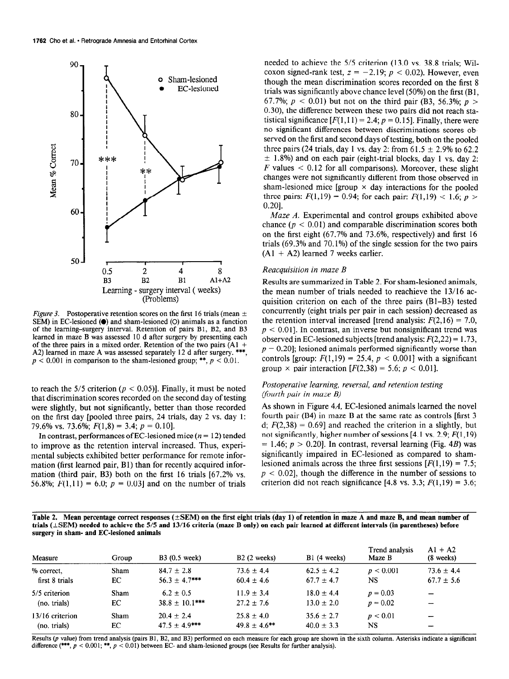

Figure 3. Postoperative retention scores on the first 16 trials (mean  $\pm$ SEM) in EC-lesioned ( $\bullet$ ) and sham-lesioned (O) animals as a function of the learning-surgery interval. Retention of pairs Bl, B2, and B3 learned in maze B was assessed 10 d after surgery by presenting each of the three pairs in a mixed order. Retention of the two pairs  $(A1 +$ Of the three pairs in a mixed order. Retention of the two pairs  $(A)$  +  $(A)$ Az) rearried in maze A was assessed separately 12 d and surgery.

to reach the 5/5 criterion ( $p < 0.05$ ). Finally, it must be noted that discrimination scores recorded on the second day of testing were slightly, but not significantly, better than those recorded on the first day [pooled three pairs, 24 trials, day 2 vs. day 1: 79.6% vs. 73.6%;  $F(1,8) = 3.4$ ;  $p = 0.10$ ].

 $I_{10}$  contrast, performances of EC-lesioned mice (n = 12) tended  $t_{\rm H}$  contrast, performances of LC-resioned inter $\left(n - 12\right)$  tender to improve as the retention interval increased. Thus, experimental subjects exhibited better performance for remote infor $m_{\rm H}$  and  $m_{\rm H}$  is the recently pair  $m_{\rm H}$  and  $m_{\rm H}$  and  $m_{\rm H}$  and  $m_{\rm H}$  and  $m_{\rm H}$  and  $m_{\rm H}$  and  $m_{\rm H}$  and  $m_{\rm H}$  and  $m_{\rm H}$  and  $m_{\rm H}$  and  $m_{\rm H}$  and  $m_{\rm H}$  and  $m_{\rm H}$  and  $m_{\rm H}$   $m$ ation (instructured pair, B3) than for televity acquired information (third pair, B3) both on the first 16 trials [67.2% vs.<br>56.8%;  $F(1,11) = 6.0$ ;  $p = 0.03$ ] and on the number of trials

needed to achieve the 5/5 criterion (13.0 vs. 38.8 trials; Wilcoxon signed-rank test,  $z = -2.19$ ;  $p < 0.02$ ). However, even though the mean discrimination scores recorded on the first 8 trials was significantly above chance level (50%) on the first (B 1, 67.7%;  $p < 0.01$ ) but not on the third pair (B3, 56.3%;  $p >$ 0.30) the difference between these two pairs did not reach statistical significance  $[F(1,11) = 2.4; p = 0.15]$ . Finally, there were no significant differences between discriminations scores observed on the first and second days of testing, both on the pooled three pairs (24 trials, day 1 vs. day 2: from 61.5  $\pm$  2.9% to 62.2  $\pm$  1.8%) and on each pair (eight-trial blocks, day 1 vs. day 2:  $F$  values  $\leq 0.12$  for all comparisons). Moreover, these slight changes were not significantly different from those observed in sham-lesioned mice  $\left[\text{group} \times \text{day}\right]$  interactions for the pooled three pairs:  $F(1,19) = 0.94$ ; for each pair:  $F(1,19) < 1.6$ ;  $p >$ 0.201.

Maze A. Experimental and control groups exhibited above chance ( $p < 0.01$ ) and comparable discrimination scores both on the first eight (67.7% and 73.6%, respectively) and first 16 trials (69.3% and 70.1%) of the single session for the two pairs  $(A1 + A2)$  learned 7 weeks earlier.

### Reacquisition in maze B

Results are summarized in Table 2. For sham-lesioned animals, the mean number of trials needed to reachieve the 13/16 acquisition criterion on each of the three pairs (Bl-B3) tested concurrently (eight trials per pair in each session) decreased as the retention interval increased [trend analysis:  $F(2,16) = 7.0$ ,  $p < 0.01$ ]. In contrast, an inverse but nonsignificant trend was observed in EC-lesioned subjects [trend analysis:  $F(2,22) = 1.73$ ,  $p = 0.20$ ; lesioned animals performed significantly worse than controls [group:  $F(1,19) = 25.4$ ,  $p < 0.001$ ] with a significant group  $\times$  pair interaction [F(2,38) = 5.6; p < 0.01].

### Postoperative learning, reversal, and retention testing fourth pair in maze B)

As shown in Figure 4A, EC-lesioned animals learned the novel fourth pair (B4) in maze B at the same rate as controls [first 3 d;  $F(2,38) = 0.69$ ] and reached the criterion in a slightly, but not significantly, higher number of sessions  $[4.1 \text{ vs. } 2.9; F(1,19)]$  $= 1.46$ ;  $p > 0.20$ ]. In contrast, reversal learning (Fig. 4B) was significantly impaired in EC-lesioned as compared to sham- $\epsilon$  is the three first session and the three first session  $\epsilon$  is  $\epsilon$ p estimated all though the difference in the sessions  $[t(1,17) - 7.5]$ ,  $p < 0.02$ , though the difference in the number of sessions to criterion did not reach significance [4.8 vs. 3.3;  $F(1,19) = 3.6$ ;

Table 2. Mean percentage correct responses (aSEM) on the first eight trials (aSEM) on the first eight trials (day 1) of the first eight trials (day 1) or the first eight of the first eight of the first eight of the first e The  $2$ , ineal percentage correct responses ( $\pm$ SEN) on the first eight trials (day 1) or retention in maze A and maze B, and mean numb trials  $(\pm SEM)$  needed to achieve the 5/5 and 13/16 criteria (maze B only) on each pair learned at different intervals (in parentheses) before surgery in sham- and EC-lesioned animals

| Measure         | Group | $B3(0.5$ week)     | $B2(2$ weeks)     | $B1(4 \text{ weeks})$ | Trend analysis<br>Maze B | $A1 + A2$<br>$(8 \text{ weeks})$ |
|-----------------|-------|--------------------|-------------------|-----------------------|--------------------------|----------------------------------|
| % correct,      | Sham  | $84.7 \pm 2.8$     | $73.6 \pm 4.4$    | $62.5 \pm 4.2$        | p < 0.001                | $73.6 \pm 4.4$                   |
| first 8 trials  | EC    | $56.3 \pm 4.7***$  | $60.4 \pm 4.6$    | $67.7 \pm 4.7$        | <b>NS</b>                | $67.7 \pm 5.6$                   |
| 5/5 criterion   | Sham  | $6.2 \pm 0.5$      | $11.9 \pm 3.4$    | $18.0 \pm 4.4$        | $p = 0.03$               | -                                |
| (no. trials)    | EC    | $38.8 \pm 10.1***$ | $27.2 \pm 7.6$    | $13.0 \pm 2.0$        | $p = 0.02$               |                                  |
| 13/16 criterion | Sham  | $20.4 \pm 2.4$     | $25.8 \pm 4.0$    | $35.6 \pm 2.7$        | p < 0.01                 | --                               |
| (no. trials)    | EC.   | $47.5 \pm 4.9***$  | $49.8 \pm 4.6$ ** | $40.0 \pm 3.3$        | NS                       |                                  |

Results (p value) from trend analysis (pairs B1, B2, and B3) performed on each measure for each group are shown in the sixth column. Asterisks indicate a significant difference (\*\*\*,  $p < 0.001$ ; \*\*,  $p < 0.01$ ) between EC- and sham-lesioned groups (see Results for further analysis).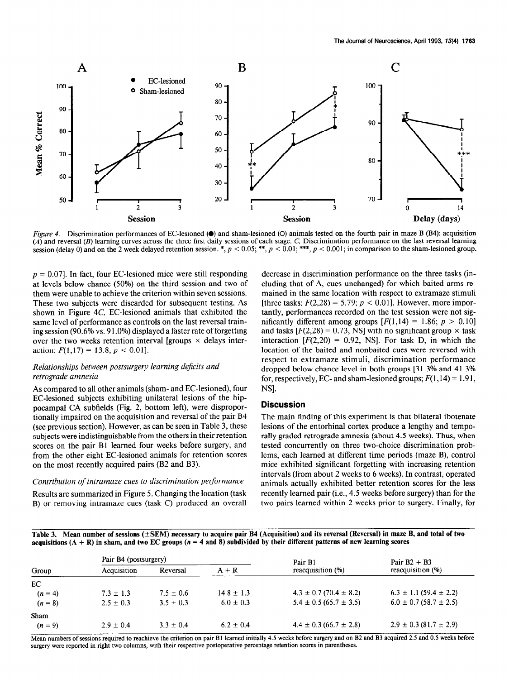

Figure 4. Discrimination performances of EC-lesioned ( $\bullet$ ) and sham-lesioned (O) animals tested on the fourth pair in maze B (B4): acquisition (A) and reversal  $(B)$  learning curves across the three first daily sessions of each stage. C, Discrimination performance on the last reversal learning session (delay 0) and on the 2 week delayed retention session. \*,  $p < 0.05$ ; \*\*,  $p < 0.01$ ; \*\*\*,  $p < 0.001$ ; in comparison to the sham-lesioned group.

 $p = 0.07$ ]. In fact, four EC-lesioned mice were still responding at levels below chance (50%) on the third session and two of them were unable to achieve the criterion within seven sessions. These two subjects were discarded for subsequent testing. As shown in Figure 4C, EC-lesioned animals that exhibited the same level of performance as controls on the last reversal training session (90.6% vs. 9 1 .O%) displayed a faster rate of forgetting over the two weeks retention interval [groups  $\times$  delays interaction:  $F(1,17) = 13.8, p < 0.01$ .

### Relationships between postsurgery learning deficits and retrograde amnesia

As compared to all other animals (sham- and EC-lesioned), four EC-lesioned subjects exhibiting unilateral lesions of the hippocampal CA subfields (Fig. 2, bottom left), were disproportionally impaired on the acquisition and reversal of the pair B4 (see previous section). However, as can be seen in Table 3, these subjects were indistinguishable from the others in their retention scores on the pair Bl learned four weeks before surgery, and from the other eight EC-lesioned animals for retention scores on the most recently acquired pairs (B2 and B3).

### Contribution of intramaze cues to discrimination performance

 $R_{\text{R}}$ Results are summarized in Figure 5. Changing the location (task  $\sum_{n=1}^{\infty}$ 

decrease in discrimination performance on the three tasks (including that of A, cues unchanged) for which baited arms remained in the same location with respect to extramaze stimuli [three tasks;  $F(2,28) = 5.79$ ;  $p < 0.01$ ]. However, more importantly, performances recorded on the test session were not significantly different among groups  $[F(1,14) = 1.86; p > 0.10]$ and tasks  $[F(2,28) = 0.73, NS]$  with no significant group  $\times$  task interaction  $[F(2,20) = 0.92, NS]$ . For task D, in which the location of the baited and nonbaited cues were reversed with respect to extramaze stimuli, discrimination performance dropped below chance level in both groups [3 1.3% and 41.3% for, respectively, EC- and sham-lesioned groups;  $F(1,14) = 1.91$ , NS].

### **Discussion**

The main finding of this experiment is that bilateral ibotenate lesions of the entorhinal cortex produce a lengthy and temporally graded retrograde amnesia (about 4.5 weeks). Thus, when tested concurrently on three two-choice discrimination problems, each learned at different time periods (maze B), control mice exhibited significant forgetting with increasing retention intervals (from about 2 weeks to 6 weeks). In contrast, operated  $\frac{1}{2}$  and  $\frac{1}{2}$  and  $\frac{1}{2}$  and  $\frac{1}{2}$  better retention scores for the less animals actually exhibited better retention scores for the less recently learned pair (i.e., 4.5 weeks before surgery) than for the two pairs learned within 2 weeks prior to surgery. Finally, for

Table 3. Mean number of sessions (GEM) necessary to acquire pair B4 (Acquisition) and its reversal (Reversal) in maze B, and total of two Table 3. Mean number of sessions ( $\pm$ SEM) necessary to acquire pair B4 (Acquisition) and its reversal (Reversal) in maze r

| Group     | Pair B4 (postsurgery) |               |                | Pair B1                        | Pair $B2 + B3$                 |
|-----------|-----------------------|---------------|----------------|--------------------------------|--------------------------------|
|           | Acquisition           | Reversal      | $A + R$        | reacquisition (%)              | reacquisition (%)              |
| EC        |                       |               |                |                                |                                |
| $(n = 4)$ | $7.3 \pm 1.3$         | $7.5 \pm 0.6$ | $14.8 \pm 1.3$ | $4.3 \pm 0.7$ (70.4 $\pm$ 8.2) | $6.3 \pm 1.1$ (59.4 $\pm$ 2.2) |
| $(n = 8)$ | $2.5 \pm 0.3$         | $3.5 \pm 0.3$ | $6.0 \pm 0.3$  | $5.4 \pm 0.5$ (65.7 $\pm$ 3.5) | $6.0 \pm 0.7$ (58.7 $\pm$ 2.5) |
| Sham      |                       |               |                |                                |                                |
| $(n = 9)$ | $2.9 \pm 0.4$         | $3.3 \pm 0.4$ | $6.2 \pm 0.4$  | $4.4 \pm 0.3$ (66.7 $\pm$ 2.8) | $2.9 \pm 0.3$ (81.7 $\pm$ 2.9) |

Mean numbers of sessions required to reachieve the criterion on pair B1 learned initially 4.5 weeks before surgery and on B2 and B3 acquired 2.5 and 0.5 weeks before surgery were reported in right two columns, with their r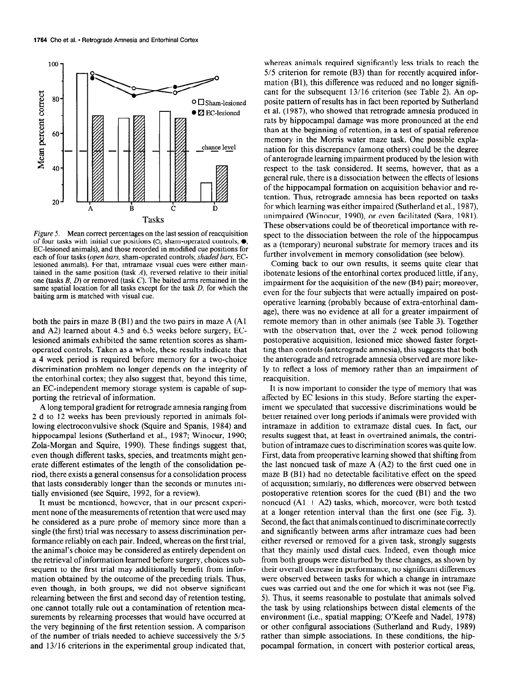

Figure 5. Mean correct percentages on the last session of reacquisition of four tasks with initial cue positions  $(O,$  sham-operated controls;  $\bullet$ , EC-lesioned animals), and those recorded in modified cue positions for each of four tasks (*open bars*, sham-operated controls; *shaded bars*, EClesioned animals). For that, intramaze visual cues were either maintained in the same position (task  $A$ ), reversed relative to their initial one (tasks  $B$ ,  $D$ ) or removed (task  $C$ ). The baited arms remained in the same spatial location for all tasks except for the task D, for which the baiting arm is matched with visual cue.

both the pairs in maze B (Bl) and the two pairs in maze A (Al and A2) learned about 4.5 and 6.5 weeks before surgery, EClesioned animals exhibited the same retention scores as shamoperated controls. Taken as a whole, these results indicate that a 4 week period is required before memory for a two-choice discrimination problem no longer depends on the integrity of the entorhinal cortex; they also suggest that, beyond this time, an EC-independent memory storage system is capable of supporting the retrieval of information.

A long temporal gradient for retrograde amnesia ranging from 2 d to 12 weeks has been previously reported in animals fol-2 d' to 12 weeks has oeen previously reported in animals forhowing ciculous dust be shock (Squite and Spanis, 1984) and  $\frac{1}{2}$ hippocampal lesions (Sutherland et al., 1987; Winocur, 1990; Zola-Morgan and Squire, 1990). These findings suggest that, even though different tasks, species, and treatments might gen- $\epsilon$  or through different tasks, species, and incuments implies generale different estimates of the length of the consolidation period, there exists a general consensus for a consolidation process that lasts considerably longer than the seconds or minutes initially envisioned (see Squire, 1992, for a review).

It must be mentioned, however, that in our present experiment none of the measurements of retention that were used may be considered as a pure probe of memory since more than a single (the first) trial was necessary to assess discrimination performance reliably on each pair. Indeed, whereas on the first trial, the animal's choice may be considered as entirely dependent on the retrieval of information learned before surgery, choices subsequent to the first trial may additionally benefit from information obtained by the outcome of the preceding trials. Thus, even though, in both groups, we did not observe significant relearning between the first and second day of retention testing, one cannot totally rule out a contamination of retention measurements by relearning processes that would have occurred at the very beginning of the first retention session. A comparison of the number of trials needed to achieve successively the  $5/5$  and  $13/16$  criterions in the experimental group indicated that,

whereas animals required significantly less trials to reach the  $5/5$  criterion for remote (B3) than for recently acquired information  $(B1)$ , this difference was reduced and no longer significant for the subsequent 13/16 criterion (see Table 2). An opposite pattern of results has in fact been reported by Sutherland et al. (1987), who showed that retrograde amnesia produced in rats by hippocampal damage was more pronounced at the end than at the beginning of retention, in a test of spatial reference memory in the Morris water maze task. One possible explanation for this discrepancy (among others) could be the degree of anterograde learning impairment produced by the lesion with respect to the task considered. It seems, however, that as a general rule, there is a dissociation between the effects of lesions of the hippocampal formation on acquisition behavior and retention. Thus, retrograde amnesia has been reported on tasks for which learning was either impaired (Sutherland et al., 1987), unimpaired (Winocur, 1990), or even facilitated (Sara, 1981). These observations could be of theoretical importance with respect to the dissociation between the role of the hippocampus as a (temporary) neuronal substrate for memory traces and its further involvement in memory consolidation (see below).

Coming back to our own results, it seems quite clear that ibotenate lesions of the entorhinal cortex produced little, if any, impairment for the acquisition of the new (B4) pair; moreover, even for the four subjects that were actually impaired on postoperative learning (probably because of extra-entorhinal damage), there was no evidence at all for a greater impairment of remote memory than in other animals (see Table 3). Together with the observation that, over the 2 week period following postoperative acquisition, lesioned mice showed faster forgetting than controls (anterograde amnesia), this suggests that both the anterograde and retrograde amnesia observed are more likely to reflect a loss of memory rather than an impairment of reacquisition.

It is now important to consider the type of memory that was It is now important to consider the type of memory that was anceled by EC resions in this study. Before starting the experbetter retained over long periods if animals were provided with better retained over long periods if annuals were provided with intramaze in addition to extramaze distal cues. In fact, our results suggest that, at least in overtrained animals, the contribution of intramaze cues to discrimination scores was quite low. First, data from preoperative learning showed that shifting from the last noncued task of maze  $A(A2)$  to the first cued one in maze  $B(B1)$  had no detectable facilitative effect on the speed of acquisition; similarly, no differences were observed between postoperative retention scores for the cued (B1) and the two noncued (A1 + A2) tasks, which, moreover, were both tested at a longer retention interval than the first one (see Fig. 3). Second, the fact that animals continued to discriminate correctly and significantly between arms after intramaze cues had been either reversed or removed for a given task, strongly suggests that they mainly used distal cues. Indeed, even though mice from both groups were disturbed by these changes, as shown by their overall decrease in performance, no significant differences were observed between tasks for which a change in intramaze cues was carried out and the one for which it was not (see Fig. 5). Thus, it seems reasonable to postulate that animals solved the task by using relationships between distal elements of the environment (i.e., spatial mapping; O'Keefe and Nadel, 1978) or other configural associations (Sutherland and Rudy, 1989) rather than simple associations. In these conditions, the hip-pocampal formation, in concert with posterior cortical areas,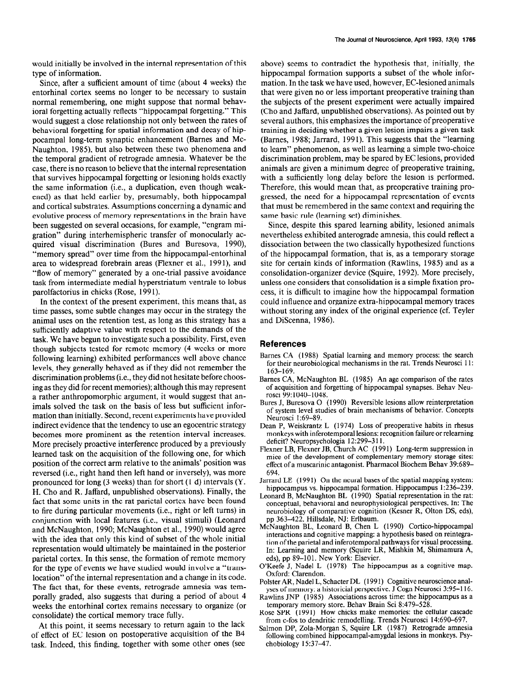would initially be involved in the internal representation of this above) seems to contradict the hypothesis that, initially, the type of information. hippocampal formation supports a subset of the whole infor-

entorhinal cortex seems no longer to be necessary to sustain that were given no or less important preoperative training than normal remembering, one might suppose that normal behav- the subjects of the present experiment were actually impaired ioral forgetting actually reflects "hippocampal forgetting." This (Cho and Jaffard, unpublished observations). As pointed out by would suggest a close relationship not only between the rates of several authors, this emphasizes the importance of preoperative behavioral forgetting for spatial information and decay of hip- training in deciding whether a given lesion impairs a given task pocampal long-term synaptic enhancement (Barnes and Mc- (Barnes, 1988; Jarrard, 1991). This suggests that the "learning Naughton, 1985), but also between these two phenomena and to learn" phenomenon, as well as learning a simple two-choice the temporal gradient of retrograde amnesia. Whatever be the discrimination problem, may be spared by EC lesions, provided case, there is no reason to believe that the internal representation animals are given a minimum degree of preoperative training, that survives hippocampal forgetting or lesioning holds exactly with a sufficiently long delay before the lesion is performed. the same information (i.e., a duplication, even though weak- Therefore, this would mean that, as preoperative training proened) as that held earlier by, presumably, both hippocampal gressed, the need for a hippocampal representation of events and cortical substrates. Assumptions concerning a dynamic and that must be remembered in the same context and requiring the evolutive process of memory representations in the brain have same basic rule (learning set) diminishes. been suggested on several occasions, for example, "engram mi- Since, despite this spared learning ability, lesioned animals gration" during interhemispheric transfer of monocularly ac- nevertheless exhibited anterograde amnesia, this could reflect a quired visual discrimination (Bures and Buresova, 1990), dissociation between the two classically hypothesized functions "memory spread" over time from the hippocampal-entorhinal of the hippocampal formation, that is, as a temporary storage area to widespread forebrain areas (Flexner et al., 1991), and site for certain kinds of information (Rawlins, 1985) and as a "flow of memory" generated by a one-trial passive avoidance consolidation-organizer device (Squire, 1992). More precisely, task from intermediate medial hyperstriatum ventrale to lobus unless one considers that consolidation is a simple fixation proparolfactorius in chicks (Rose, 1991). cess, it is difficult to imagine how the hippocampal formation

time passes, some subtle changes may occur in the strategy the without storing any index of the original experience (cf. Teyler animal uses on the retention test, as long as this strategy has a and DiScenna, 1986). sufficiently adaptive value with respect to the demands of the task. We have begun to investigate such a possibility. First, even though subjects tested for remote memory (4 weeks or more following learning) exhibited performances well above chance levels, they generally behaved as if they did not remember the discrimination problems (i.e., they did not hesitate before choosing as they did for recent memories); although this may represent a rather anthropomorphic argument, it would suggest that animals solved the task on the basis of less but sufficient information than initially. Second, recent experiments have provided indirect evidence that the tendency to use an egocentric strategy becomes more prominent as the retention interval increases. More precisely proactive interference produced by a previously learned task on the acquisition of the following one, for which position of the correct arm relative to the animals' position was reversed (i.e., right hand then left hand or inversely), was more pronounced for long (3 weeks) than for short (1 d) intervals (Y. H. Cho and R. Jaffard, unpublished observations). Finally, the fact that some units in the rat parietal cortex have been found to fire during particular movements (i.e., right or left turns) in conjunction with local features (i.e., visual stimuli) (Leonard and McNaughton, 1990; McNaughton et al., 1990) would agree with the idea that only this kind of subset of the whole initial representation would ultimately be maintained in the posterior prosentation would unimately be maintained in the posterior for the type of events we have studied would involve a term of the studies of the studies of the studies of the studies of the studies of the studies of the studies of the studies of the studies of the studies of the studi for the type of events we have studied would involve a "translocation" of the internal representation and a change in its code. The fact that, for these events, retrograde amnesia was temporally graded, also suggests that during a period of about 4 weeks the entorhinal cortex remains necessary to organize (or consolidate) the cortical memory trace fully.  $\frac{1}{2}$  and  $\frac{1}{2}$  in section in the lack the lack the lack the lack the lack the lack the lack the lack the lack the lack the lack the lack the lack the lack the lack the lack the lack the lack the lack the lack the

At this point, it seems necessary to return again to the facts of effect of EC lesion on postoperative acquisition of the B4 task. Indeed, this finding, together with some other ones (see

Since, after a sufficient amount of time (about 4 weeks) the mation. In the task we have used, however, EC-lesioned animals

In the context of the present experiment, this means that, as could influence and organize extra-hippocampal memory traces

### References

- Barnes CA (1988) Spatial learning and memory process: the search for their neurobiological mechanisms in the rat. Trends Neurosci 11: 163-169.
- Barnes CA, McNaughton BL (1985) An age comparison of the rates of acquisition and forgetting of hippocampal synapses. Behav Neurosci 99:1040-1048.
- Bures J, Buresova 0 (1990) Reversible lesions allow reinterpretation of system level studies of brain mechanisms of behavior. Concepts Neurosci 1:69-89.
- Dean P, Weiskrantz L (1974) Loss of preoperative habits in rhesus monkeys with inferotemporal lesions: recognition failure or relearning deficit? Neuropsychologia 12:299-311.
- $F$ lexner Latitudion Latitudion and  $F$  and  $F$  and  $F$  and  $F$  are term suppression in  $\frac{1}{2}$  mich  $\frac{1}{2}$  development of  $\frac{1}{2}$  memory storage sites: mice of the development of complementary memory storage sites:<br>effect of a muscarinic antagonist. Pharmacol Biochem Behav 30:689 enect<br>404. 694.<br>Jarrard LE (1991) On the neural bases of the spatial mapping system:
- $h_1$  hard  $f_2$  (1771) On the health dates of the spatial mapping system Impocampus vs. mpocampariormation. Impocampus 1.250–257.
- conard  $\mathbf{D}$ , because the neurophysical perspective and neurophysical perspectives. In: The  $\mathbf{D}$  $\frac{1}{2}$  conceptual, ochaviolal and heurophysiological perspectives. In The neurobiology of comparative cognition (Kesner R, Olton DS, eds), pp 363-422. Hillsdale, NJ: Erlbaum. McD<sub>1</sub> S03–422, Finisuale, NJ, Lituaum.<br>Dental BL, Leonard B, Chen L (1999) Cortico-hippocampala
- $\alpha$ interactions and communities  $\alpha$  and  $\alpha$  and  $\alpha$ interactions and cognitive mapping: a hypothesis based on reintegration of the parietal and inferotemporal pathways for visual processing. In: Learning and memory (Squire LR, Mishkin M, Shimamura A, eds), pp 89-101. New York: Elsevier.  $\cos$ , pp  $\delta$ 9-101. New YORK: Eisevier.
- $\text{Keer}$ , Nadel L Political Littler Communication Control Control Control Control Control Control Control Control Control Control Control Control Control Control Control Control Control Control Control Control Control Control Control Contro
- $\mu$ ster AR, Nadel L, Schacter DL  $(1991)$  Cognitive neuroscience analyses of memory: a historicial perspective. J Cogn Neurosci 3:95-116.
- Rawlins JNP (1985) Associations across time: the hippocampus as a temporary memory store. Behav Brain Sci 8:479-528.
- Rose SPR (1991) How chicks make memories: the cellular cascade from c-fos to dendritic remodelling. Trends Neurosci 14:690-697.
- Salmon DP, Zola-Morgan S, Squire LR (1987) Retrograde amnesia following combined hippocampal-amygdal lesions in monkeys. Psy-chobiology 15:37-47.